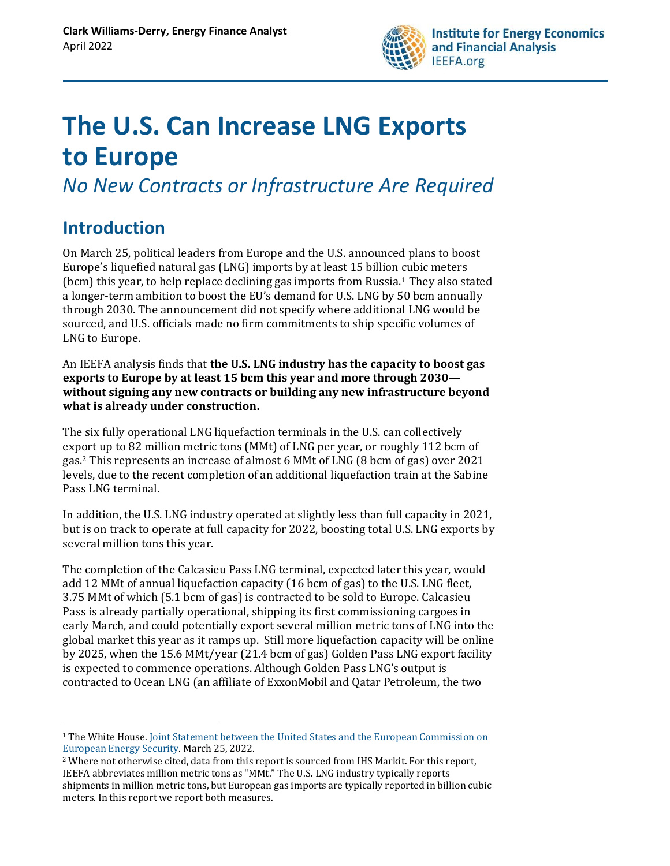

# **The U.S. Can Increase LNG Exports to Europe**

*No New Contracts or Infrastructure Are Required* 

### **Introduction**

On March 25, political leaders from Europe and the U.S. announced plans to boost Europe's liquefied natural gas (LNG) imports by at least 15 billion cubic meters (bcm) this year, to help replace declining gas imports from Russia.<sup>1</sup> They also stated a longer-term ambition to boost the EU's demand for U.S. LNG by 50 bcm annually through 2030. The announcement did not specify where additional LNG would be sourced, and U.S. officials made no firm commitments to ship specific volumes of LNG to Europe.

An IEEFA analysis finds that **the U.S. LNG industry has the capacity to boost gas exports to Europe by at least 15 bcm this year and more through 2030 without signing any new contracts or building any new infrastructure beyond what is already under construction.** 

The six fully operational LNG liquefaction terminals in the U.S. can collectively export up to 82 million metric tons (MMt) of LNG per year, or roughly 112 bcm of gas.<sup>2</sup> This represents an increase of almost 6 MMt of LNG (8 bcm of gas) over 2021 levels, due to the recent completion of an additional liquefaction train at the Sabine Pass LNG terminal.

In addition, the U.S. LNG industry operated at slightly less than full capacity in 2021, but is on track to operate at full capacity for 2022, boosting total U.S. LNG exports by several million tons this year.

The completion of the Calcasieu Pass LNG terminal, expected later this year, would add 12 MMt of annual liquefaction capacity (16 bcm of gas) to the U.S. LNG fleet, 3.75 MMt of which (5.1 bcm of gas) is contracted to be sold to Europe. Calcasieu Pass is already partially operational, shipping its first commissioning cargoes in early March, and could potentially export several million metric tons of LNG into the global market this year as it ramps up. Still more liquefaction capacity will be online by 2025, when the 15.6 MMt/year (21.4 bcm of gas) Golden Pass LNG export facility is expected to commence operations. Although Golden Pass LNG's output is contracted to Ocean LNG (an affiliate of ExxonMobil and Qatar Petroleum, the two

<sup>1</sup> The White House. Joint Statement between the United [States and the European Commission on](https://www.whitehouse.gov/briefing-room/statements-releases/2022/03/25/joint-statement-between-the-united-states-and-the-european-commission-on-european-energy-security/)  [European Energy](https://www.whitehouse.gov/briefing-room/statements-releases/2022/03/25/joint-statement-between-the-united-states-and-the-european-commission-on-european-energy-security/) Security. March 25, 2022.

<sup>&</sup>lt;sup>2</sup> Where not otherwise cited, data from this report is sourced from IHS Markit. For this report, IEEFA abbreviates million metric tons as "MMt." The U.S. LNG industry typically reports shipments in million metric tons, but European gas imports are typically reported in billion cubic meters. In this report we report both measures.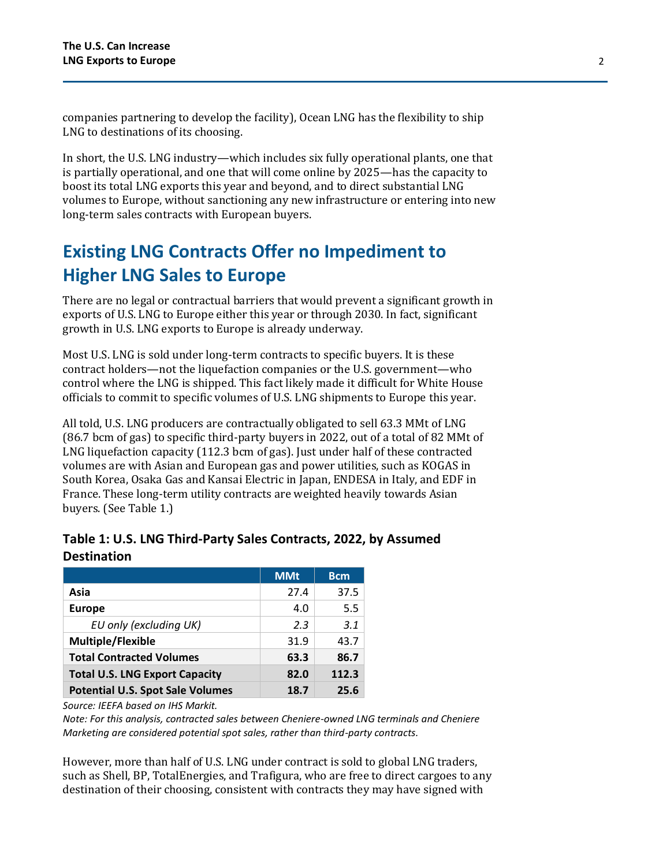companies partnering to develop the facility), Ocean LNG has the flexibility to ship LNG to destinations of its choosing.

In short, the U.S. LNG industry—which includes six fully operational plants, one that is partially operational, and one that will come online by 2025—has the capacity to boost its total LNG exports this year and beyond, and to direct substantial LNG volumes to Europe, without sanctioning any new infrastructure or entering into new long-term sales contracts with European buyers.

### **Existing LNG Contracts Offer no Impediment to Higher LNG Sales to Europe**

There are no legal or contractual barriers that would prevent a significant growth in exports of U.S. LNG to Europe either this year or through 2030. In fact, significant growth in U.S. LNG exports to Europe is already underway.

Most U.S. LNG is sold under long-term contracts to specific buyers. It is these contract holders—not the liquefaction companies or the U.S. government—who control where the LNG is shipped. This fact likely made it difficult for White House officials to commit to specific volumes of U.S. LNG shipments to Europe this year.

All told, U.S. LNG producers are contractually obligated to sell 63.3 MMt of LNG (86.7 bcm of gas) to specific third-party buyers in 2022, out of a total of 82 MMt of LNG liquefaction capacity (112.3 bcm of gas). Just under half of these contracted volumes are with Asian and European gas and power utilities, such as KOGAS in South Korea, Osaka Gas and Kansai Electric in Japan, ENDESA in Italy, and EDF in France. These long-term utility contracts are weighted heavily towards Asian buyers. (See Table 1.)

|                                         | <b>MMt</b> | Bcm.  |
|-----------------------------------------|------------|-------|
| Asia                                    | 27.4       | 37.5  |
| <b>Europe</b>                           | 4.0        | 5.5   |
| EU only (excluding UK)                  | 2.3        | 3.1   |
| <b>Multiple/Flexible</b>                | 31.9       | 43.7  |
| <b>Total Contracted Volumes</b>         | 63.3       | 86.7  |
| <b>Total U.S. LNG Export Capacity</b>   | 82.0       | 112.3 |
| <b>Potential U.S. Spot Sale Volumes</b> | 18.7       | 25.6  |

| Table 1: U.S. LNG Third-Party Sales Contracts, 2022, by Assumed |  |
|-----------------------------------------------------------------|--|
| <b>Destination</b>                                              |  |

*Source: IEEFA based on IHS Markit.* 

*Note: For this analysis, contracted sales between Cheniere-owned LNG terminals and Cheniere Marketing are considered potential spot sales, rather than third-party contracts.*

However, more than half of U.S. LNG under contract is sold to global LNG traders, such as Shell, BP, TotalEnergies, and Trafigura, who are free to direct cargoes to any destination of their choosing, consistent with contracts they may have signed with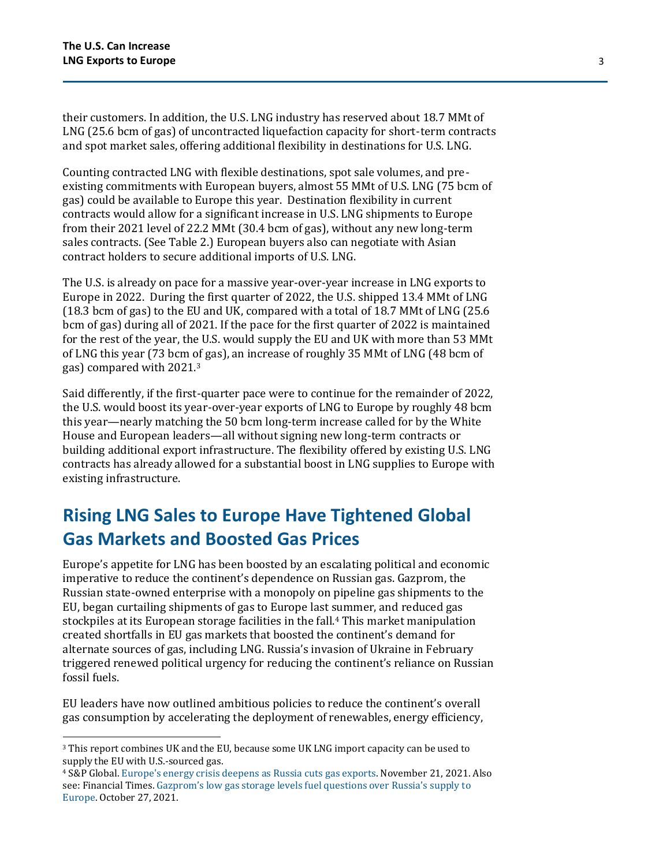their customers. In addition, the U.S. LNG industry has reserved about 18.7 MMt of LNG (25.6 bcm of gas) of uncontracted liquefaction capacity for short-term contracts and spot market sales, offering additional flexibility in destinations for U.S. LNG.

Counting contracted LNG with flexible destinations, spot sale volumes, and preexisting commitments with European buyers, almost 55 MMt of U.S. LNG (75 bcm of gas) could be available to Europe this year. Destination flexibility in current contracts would allow for a significant increase in U.S. LNG shipments to Europe from their 2021 level of 22.2 MMt (30.4 bcm of gas), without any new long-term sales contracts. (See Table 2.) European buyers also can negotiate with Asian contract holders to secure additional imports of U.S. LNG.

The U.S. is already on pace for a massive year-over-year increase in LNG exports to Europe in 2022. During the first quarter of 2022, the U.S. shipped 13.4 MMt of LNG (18.3 bcm of gas) to the EU and UK, compared with a total of 18.7 MMt of LNG (25.6 bcm of gas) during all of 2021. If the pace for the first quarter of 2022 is maintained for the rest of the year, the U.S. would supply the EU and UK with more than 53 MMt of LNG this year (73 bcm of gas), an increase of roughly 35 MMt of LNG (48 bcm of gas) compared with 2021.<sup>3</sup>

Said differently, if the first-quarter pace were to continue for the remainder of 2022, the U.S. would boost its year-over-year exports of LNG to Europe by roughly 48 bcm this year—nearly matching the 50 bcm long-term increase called for by the White House and European leaders—all without signing new long-term contracts or building additional export infrastructure. The flexibility offered by existing U.S. LNG contracts has already allowed for a substantial boost in LNG supplies to Europe with existing infrastructure.

### **Rising LNG Sales to Europe Have Tightened Global Gas Markets and Boosted Gas Prices**

Europe's appetite for LNG has been boosted by an escalating political and economic imperative to reduce the continent's dependence on Russian gas. Gazprom, the Russian state-owned enterprise with a monopoly on pipeline gas shipments to the EU, began curtailing shipments of gas to Europe last summer, and reduced gas stockpiles at its European storage facilities in the fall.<sup>4</sup> This market manipulation created shortfalls in EU gas markets that boosted the continent's demand for alternate sources of gas, including LNG. Russia's invasion of Ukraine in February triggered renewed political urgency for reducing the continent's reliance on Russian fossil fuels.

EU leaders have now outlined ambitious policies to reduce the continent's overall gas consumption by accelerating the deployment of renewables, energy efficiency,

<sup>3</sup> This report combines UK and the EU, because some UK LNG import capacity can be used to supply the EU with U.S.-sourced gas.

<sup>4</sup> S&P Global[. Europe's energy crisis deepens as Russia cuts gas exports.](https://www.spglobal.com/commodity-insights/en/market-insights/latest-news/natural-gas/110121-europes-energy-crisis-deepens-as-russia-slashes-gas-exports) November 21, 2021. Also see: Financial Times. [Gazprom's low gas storage levels fuel questions over Russia's supply to](https://www.ft.com/content/576a96f7-e41d-4068-a61b-f74f2b2d3b81)  [Europe.](https://www.ft.com/content/576a96f7-e41d-4068-a61b-f74f2b2d3b81) October 27, 2021.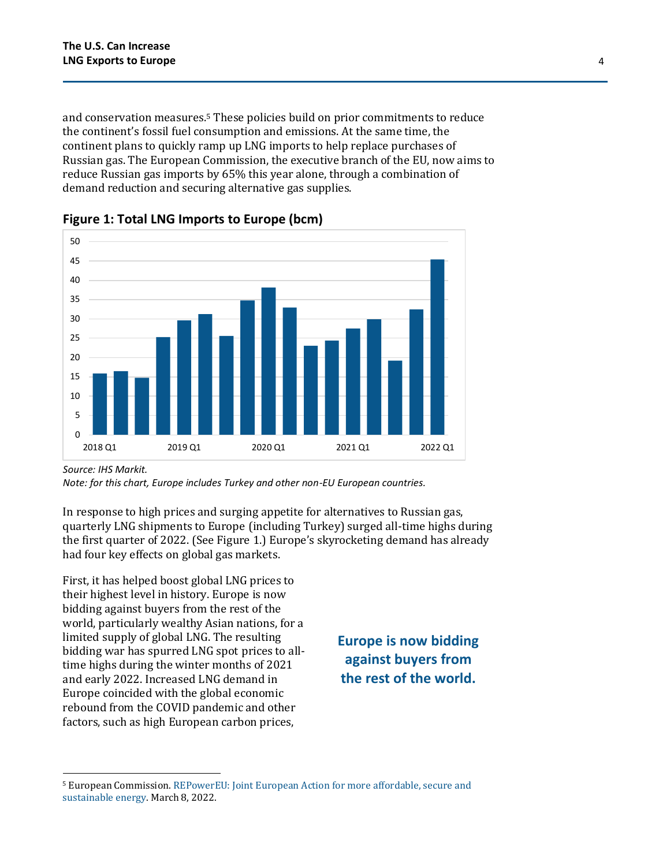and conservation measures.<sup>5</sup> These policies build on prior commitments to reduce the continent's fossil fuel consumption and emissions. At the same time, the continent plans to quickly ramp up LNG imports to help replace purchases of Russian gas. The European Commission, the executive branch of the EU, now aims to reduce Russian gas imports by 65% this year alone, through a combination of demand reduction and securing alternative gas supplies.





*Source: IHS Markit.*

*Note: for this chart, Europe includes Turkey and other non-EU European countries.*

In response to high prices and surging appetite for alternatives to Russian gas, quarterly LNG shipments to Europe (including Turkey) surged all-time highs during the first quarter of 2022. (See Figure 1.) Europe's skyrocketing demand has already had four key effects on global gas markets.

First, it has helped boost global LNG prices to their highest level in history. Europe is now bidding against buyers from the rest of the world, particularly wealthy Asian nations, for a limited supply of global LNG. The resulting bidding war has spurred LNG spot prices to alltime highs during the winter months of 2021 and early 2022. Increased LNG demand in Europe coincided with the global economic rebound from the COVID pandemic and other factors, such as high European carbon prices,

**Europe is now bidding against buyers from the rest of the world.**

<sup>5</sup> European Commission[. REPowerEU: Joint European Action for more affordable, secure and](https://eur-lex.europa.eu/legal-content/EN/TXT/?uri=COM%3A2022%3A108%3AFIN)  [sustainable energy.](https://eur-lex.europa.eu/legal-content/EN/TXT/?uri=COM%3A2022%3A108%3AFIN) March 8, 2022.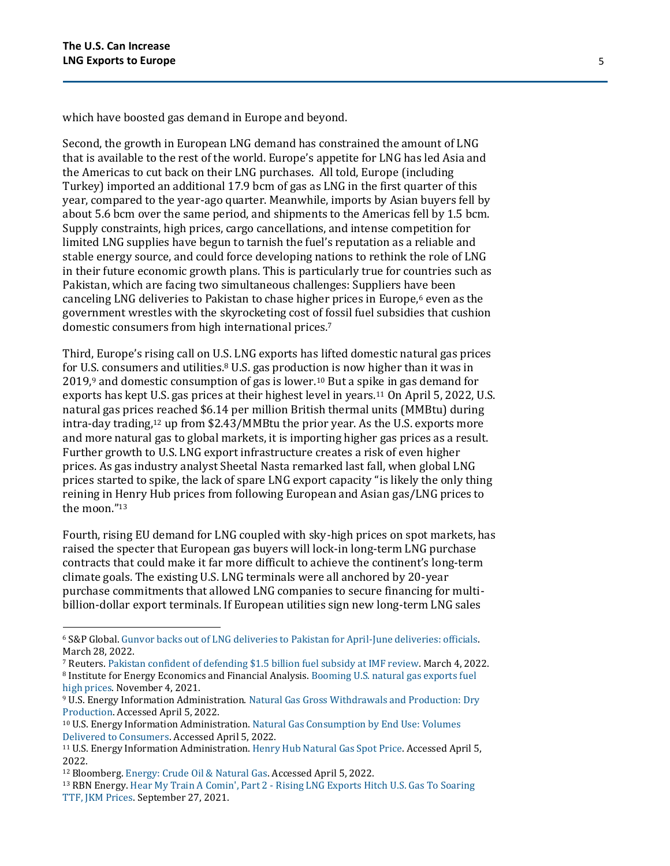which have boosted gas demand in Europe and beyond.

Second, the growth in European LNG demand has constrained the amount of LNG that is available to the rest of the world. Europe's appetite for LNG has led Asia and the Americas to cut back on their LNG purchases. All told, Europe (including Turkey) imported an additional 17.9 bcm of gas as LNG in the first quarter of this year, compared to the year-ago quarter. Meanwhile, imports by Asian buyers fell by about 5.6 bcm over the same period, and shipments to the Americas fell by 1.5 bcm. Supply constraints, high prices, cargo cancellations, and intense competition for limited LNG supplies have begun to tarnish the fuel's reputation as a reliable and stable energy source, and could force developing nations to rethink the role of LNG in their future economic growth plans. This is particularly true for countries such as Pakistan, which are facing two simultaneous challenges: Suppliers have been canceling LNG deliveries to Pakistan to chase higher prices in Europe, $6$  even as the government wrestles with the skyrocketing cost of fossil fuel subsidies that cushion domestic consumers from high international prices.<sup>7</sup>

Third, Europe's rising call on U.S. LNG exports has lifted domestic natural gas prices for U.S. consumers and utilities.<sup>8</sup> U.S. gas production is now higher than it was in  $2019$ ,<sup>9</sup> and domestic consumption of gas is lower.<sup>10</sup> But a spike in gas demand for exports has kept U.S. gas prices at their highest level in years.<sup>11</sup> On April 5, 2022, U.S. natural gas prices reached \$6.14 per million British thermal units (MMBtu) during intra-day trading,<sup>12</sup> up from \$2.43/MMBtu the prior year. As the U.S. exports more and more natural gas to global markets, it is importing higher gas prices as a result. Further growth to U.S. LNG export infrastructure creates a risk of even higher prices. As gas industry analyst Sheetal Nasta remarked last fall, when global LNG prices started to spike, the lack of spare LNG export capacity "is likely the only thing reining in Henry Hub prices from following European and Asian gas/LNG prices to the moon." 13

Fourth, rising EU demand for LNG coupled with sky-high prices on spot markets, has raised the specter that European gas buyers will lock-in long-term LNG purchase contracts that could make it far more difficult to achieve the continent's long-term climate goals. The existing U.S. LNG terminals were all anchored by 20-year purchase commitments that allowed LNG companies to secure financing for multibillion-dollar export terminals. If European utilities sign new long-term LNG sales

- <sup>9</sup> U.S. Energy Information Administration[. Natural Gas Gross Withdrawals and Production: Dry](https://www.eia.gov/dnav/ng/ng_prod_sum_a_EPG0_FPD_mmcf_a.htm)  [Production.](https://www.eia.gov/dnav/ng/ng_prod_sum_a_EPG0_FPD_mmcf_a.htm) Accessed April 5, 2022.
- <sup>10</sup> U.S. Energy Information Administration. [Natural Gas Consumption by End Use: Volumes](https://www.eia.gov/dnav/ng/ng_cons_sum_a_EPG0_vgt_mmcf_a.htm)  [Delivered to Consumers.](https://www.eia.gov/dnav/ng/ng_cons_sum_a_EPG0_vgt_mmcf_a.htm) Accessed April 5, 2022.
- <sup>11</sup> U.S. Energy Information Administration. [Henry Hub Natural Gas Spot Price.](https://www.eia.gov/dnav/ng/hist/rngwhhdW.htm) Accessed April 5, 2022.

<sup>6</sup> S&P Global[. Gunvor backs out of LNG deliveries to Pakistan for April-June deliveries: officials.](https://www.spglobal.com/commodity-insights/en/market-insights/latest-news/lng/032822-gunvor-backs-out-of-lng-deliveries-to-pakistan-from-april-june-officials)  March 28, 2022.

<sup>7</sup> Reuters[. Pakistan confident of defending \\$1.5 billion fuel subsidy at IMF review.](https://www.reuters.com/markets/rates-bonds/pakistan-confident-defending-15-billion-fuel-subsidy-imf-review-2022-03-04/) March 4, 2022. <sup>8</sup> Institute for Energy Economics and Financial Analysis. Booming U.S. natural gas exports fuel [high prices.](https://ieefa.org/ieefa-u-s-declining-demand-lower-supply-dont-explain-rapidly-rising-gas-prices/) November 4, 2021.

<sup>12</sup> Bloomberg. [Energy: Crude Oil & Natural Gas.](https://www.bloomberg.com/energy?sref=qm26bHqj) Accessed April 5, 2022.

<sup>13</sup> RBN Energy. Hear My Train A Comin', Part 2 - [Rising LNG Exports Hitch U.S. Gas To Soaring](https://rbnenergy.com/hear-my-train-a-comin-part2-rising-lng-exports-hitch-us-gas-to-soaring-ttf-jkm-prices)  [TTF, JKM Prices.](https://rbnenergy.com/hear-my-train-a-comin-part2-rising-lng-exports-hitch-us-gas-to-soaring-ttf-jkm-prices) September 27, 2021.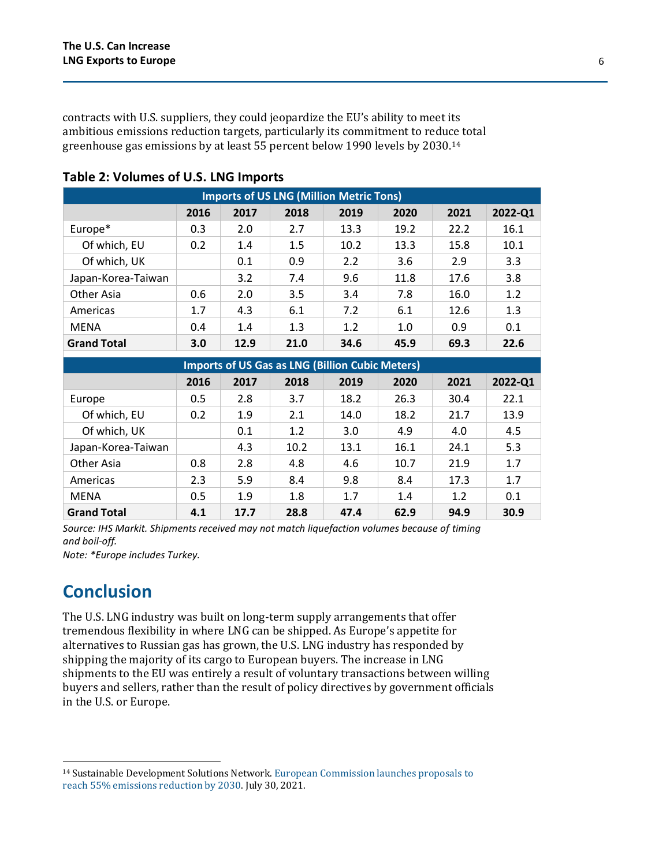contracts with U.S. suppliers, they could jeopardize the EU's ability to meet its ambitious emissions reduction targets, particularly its commitment to reduce total greenhouse gas emissions by at least 55 percent below 1990 levels by 2030.<sup>14</sup>

| <b>Imports of US LNG (Million Metric Tons)</b> |      |      |      |      |      |      |         |
|------------------------------------------------|------|------|------|------|------|------|---------|
|                                                | 2016 | 2017 | 2018 | 2019 | 2020 | 2021 | 2022-Q1 |
| Europe*                                        | 0.3  | 2.0  | 2.7  | 13.3 | 19.2 | 22.2 | 16.1    |
| Of which, EU                                   | 0.2  | 1.4  | 1.5  | 10.2 | 13.3 | 15.8 | 10.1    |
| Of which, UK                                   |      | 0.1  | 0.9  | 2.2  | 3.6  | 2.9  | 3.3     |
| Japan-Korea-Taiwan                             |      | 3.2  | 7.4  | 9.6  | 11.8 | 17.6 | 3.8     |
| Other Asia                                     | 0.6  | 2.0  | 3.5  | 3.4  | 7.8  | 16.0 | 1.2     |
| Americas                                       | 1.7  | 4.3  | 6.1  | 7.2  | 6.1  | 12.6 | 1.3     |
| <b>MENA</b>                                    | 0.4  | 1.4  | 1.3  | 1.2  | 1.0  | 0.9  | 0.1     |
| <b>Grand Total</b>                             | 3.0  | 12.9 | 21.0 | 34.6 | 45.9 | 69.3 | 22.6    |

#### **Table 2: Volumes of U.S. LNG Imports**

| <b>Imports of US Gas as LNG (Billion Cubic Meters)</b> |      |      |      |      |      |      |         |
|--------------------------------------------------------|------|------|------|------|------|------|---------|
|                                                        | 2016 | 2017 | 2018 | 2019 | 2020 | 2021 | 2022-Q1 |
| Europe                                                 | 0.5  | 2.8  | 3.7  | 18.2 | 26.3 | 30.4 | 22.1    |
| Of which, EU                                           | 0.2  | 1.9  | 2.1  | 14.0 | 18.2 | 21.7 | 13.9    |
| Of which, UK                                           |      | 0.1  | 1.2  | 3.0  | 4.9  | 4.0  | 4.5     |
| Japan-Korea-Taiwan                                     |      | 4.3  | 10.2 | 13.1 | 16.1 | 24.1 | 5.3     |
| Other Asia                                             | 0.8  | 2.8  | 4.8  | 4.6  | 10.7 | 21.9 | 1.7     |
| Americas                                               | 2.3  | 5.9  | 8.4  | 9.8  | 8.4  | 17.3 | 1.7     |
| <b>MENA</b>                                            | 0.5  | 1.9  | 1.8  | 1.7  | 1.4  | 1.2  | 0.1     |
| <b>Grand Total</b>                                     | 4.1  | 17.7 | 28.8 | 47.4 | 62.9 | 94.9 | 30.9    |

*Source: IHS Markit. Shipments received may not match liquefaction volumes because of timing and boil-off.*

*Note: \*Europe includes Turkey.*

### **Conclusion**

The U.S. LNG industry was built on long-term supply arrangements that offer tremendous flexibility in where LNG can be shipped. As Europe's appetite for alternatives to Russian gas has grown, the U.S. LNG industry has responded by shipping the majority of its cargo to European buyers. The increase in LNG shipments to the EU was entirely a result of voluntary transactions between willing buyers and sellers, rather than the result of policy directives by government officials in the U.S. or Europe.

<sup>14</sup> Sustainable Development Solutions Network. [European Commission launches proposals to](https://www.unsdsn.org/european-commission-launches-proposals-to-reach-55-emissions-reduction-by-2030)  [reach 55% emissions reduction by 2030.](https://www.unsdsn.org/european-commission-launches-proposals-to-reach-55-emissions-reduction-by-2030) July 30, 2021.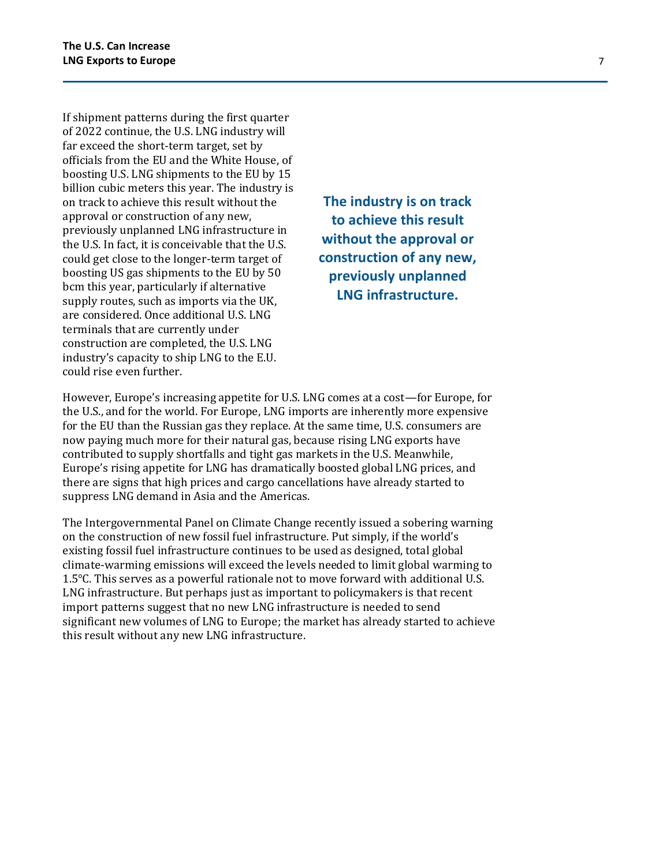If shipment patterns during the first quarter of 2022 continue, the U.S. LNG industry will far exceed the short-term target, set by officials from the EU and the White House, of boosting U.S. LNG shipments to the EU by 15 billion cubic meters this year. The industry is on track to achieve this result without the approval or construction of any new, previously unplanned LNG infrastructure in the U.S. In fact, it is conceivable that the U.S. could get close to the longer-term target of boosting US gas shipments to the EU by 50 bcm this year, particularly if alternative supply routes, such as imports via the UK, are considered. Once additional U.S. LNG terminals that are currently under construction are completed, the U.S. LNG industry's capacity to ship LNG to the E.U. could rise even further.

**The industry is on track to achieve this result without the approval or construction of any new, previously unplanned LNG infrastructure.** 

However, Europe's increasing appetite for U.S. LNG comes at a cost—for Europe, for the U.S., and for the world. For Europe, LNG imports are inherently more expensive for the EU than the Russian gas they replace. At the same time, U.S. consumers are now paying much more for their natural gas, because rising LNG exports have contributed to supply shortfalls and tight gas markets in the U.S. Meanwhile, Europe's rising appetite for LNG has dramatically boosted global LNG prices, and there are signs that high prices and cargo cancellations have already started to suppress LNG demand in Asia and the Americas.

The Intergovernmental Panel on Climate Change recently issued a sobering warning on the construction of new fossil fuel infrastructure. Put simply, if the world's existing fossil fuel infrastructure continues to be used as designed, total global climate-warming emissions will exceed the levels needed to limit global warming to 1.5℃. This serves as a powerful rationale not to move forward with additional U.S. LNG infrastructure. But perhaps just as important to policymakers is that recent import patterns suggest that no new LNG infrastructure is needed to send significant new volumes of LNG to Europe; the market has already started to achieve this result without any new LNG infrastructure.